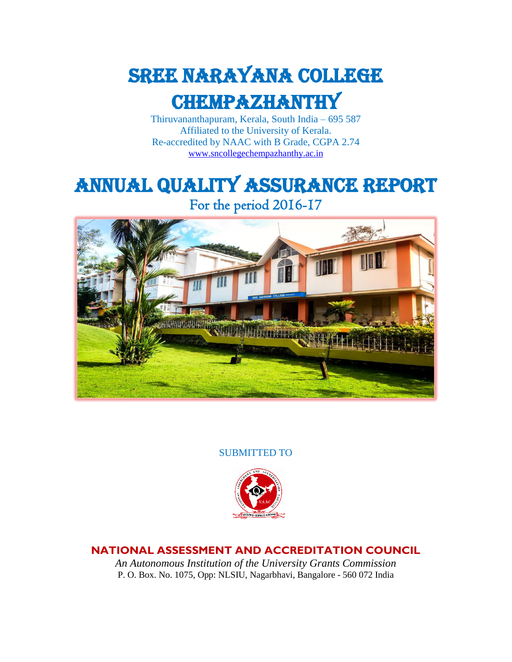

Thiruvananthapuram, Kerala, South India – 695 587 Affiliated to the University of Kerala. Re-accredited by NAAC with B Grade, CGPA 2.74 [www.sncollegechempazhanthy.ac.in](http://www.sncollegechempazhanthy.ac.in/)

# Annual Quality Assurance Report

For the period 2016-17



SUBMITTED TO



### **NATIONAL ASSESSMENT AND ACCREDITATION COUNCIL**

*An Autonomous Institution of the University Grants Commission* P. O. Box. No. 1075, Opp: NLSIU, Nagarbhavi, Bangalore - 560 072 India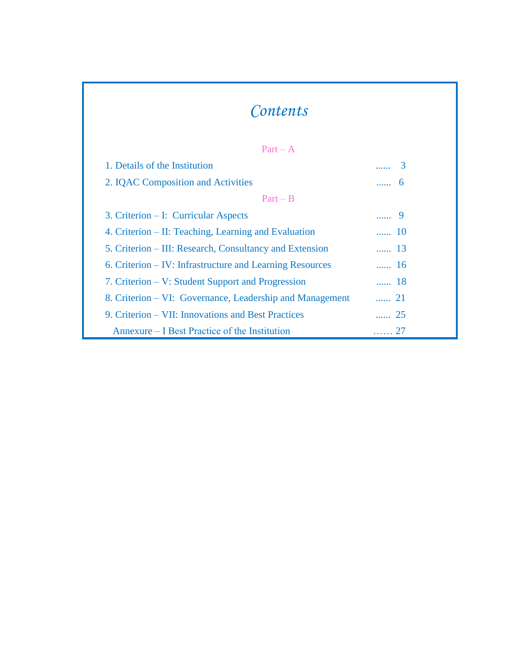# *Contents*

# $Part - A$

| 1. Details of the Institution                            |             |
|----------------------------------------------------------|-------------|
| 2. IQAC Composition and Activities                       | $\ldots$ 6  |
| $Part - B$                                               |             |
| 3. Criterion – I: Curricular Aspects                     | . 9         |
| 4. Criterion – II: Teaching, Learning and Evaluation     | $\ldots$ 10 |
| 5. Criterion – III: Research, Consultancy and Extension  | $\ldots$ 13 |
| 6. Criterion – IV: Infrastructure and Learning Resources | $\ldots$ 16 |
| 7. Criterion – V: Student Support and Progression        |             |
| 8. Criterion – VI: Governance, Leadership and Management | 21          |
| 9. Criterion – VII: Innovations and Best Practices       | $\ldots$ 25 |
| Annexure – I Best Practice of the Institution            | 27          |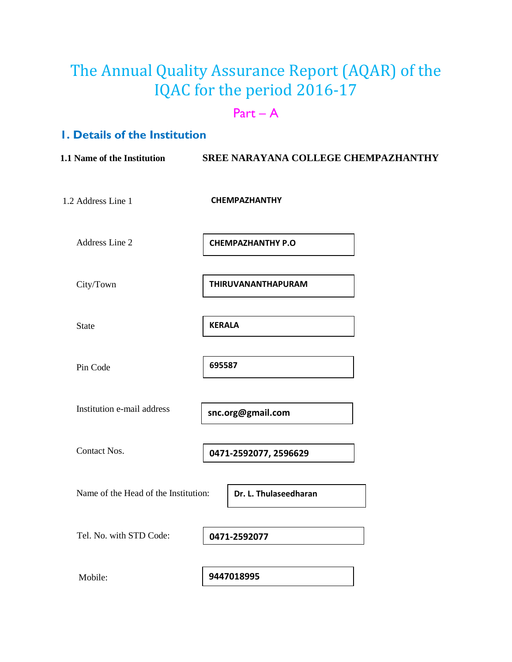# The Annual Quality Assurance Report (AQAR) of the IQAC for the period 2016-17

# Part – A

# **1. Details of the Institution**

| 1.1 Name of the Institution          | SREE NARAYANA COLLEGE CHEMPAZHANTHY |
|--------------------------------------|-------------------------------------|
| 1.2 Address Line 1                   | <b>CHEMPAZHANTHY</b>                |
| Address Line 2                       | <b>CHEMPAZHANTHY P.O</b>            |
| City/Town                            | THIRUVANANTHAPURAM                  |
| <b>State</b>                         | <b>KERALA</b>                       |
| Pin Code                             | 695587                              |
| Institution e-mail address           | snc.org@gmail.com                   |
| Contact Nos.                         | 0471-2592077, 2596629               |
| Name of the Head of the Institution: | Dr. L. Thulaseedharan               |
| Tel. No. with STD Code:              | 0471-2592077                        |
| Mobile:                              | 9447018995                          |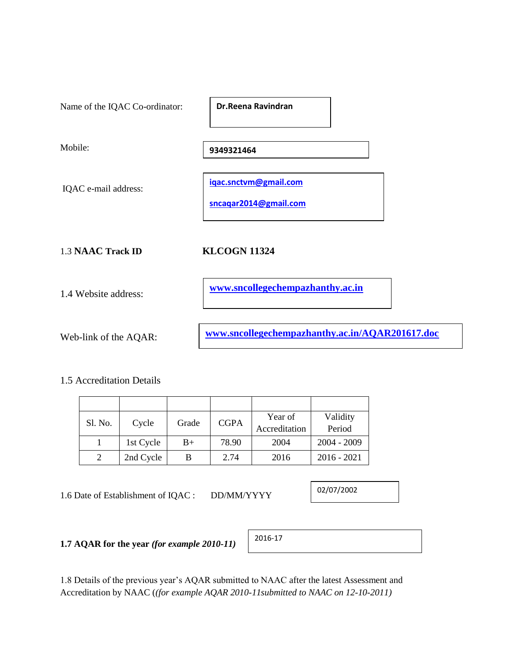| Name of the IQAC Co-ordinator: | <b>Dr.Reena Ravindran</b>                       |
|--------------------------------|-------------------------------------------------|
| Mobile:                        | 9349321464                                      |
| IQAC e-mail address:           | iqac.snctvm@gmail.com<br>sncaqar2014@gmail.com  |
| <b>1.3 NAAC Track ID</b>       | <b>KLCOGN 11324</b>                             |
| 1.4 Website address:           | www.sncollegechempazhanthy.ac.in                |
| Web-link of the AQAR:          | www.sncollegechempazhanthy.ac.in/AQAR201617.doc |

1.5 Accreditation Details

| Sl. No. | Cycle     | Grade | <b>CGPA</b> | Year of       | Validity      |
|---------|-----------|-------|-------------|---------------|---------------|
|         |           |       |             | Accreditation | Period        |
|         | 1st Cycle | $B+$  | 78.90       | 2004          | $2004 - 2009$ |
|         | 2nd Cycle | В     | 2.74        | 2016          | $2016 - 2021$ |

1.6 Date of Establishment of IQAC : DD/MM/YYYY

02/07/2002

**1.7 AQAR for the year** *(for example 2010-11)*

| 2016-17 |
|---------|
|         |

1.8 Details of the previous year's AQAR submitted to NAAC after the latest Assessment and Accreditation by NAAC (*(for example AQAR 2010-11submitted to NAAC on 12-10-2011)*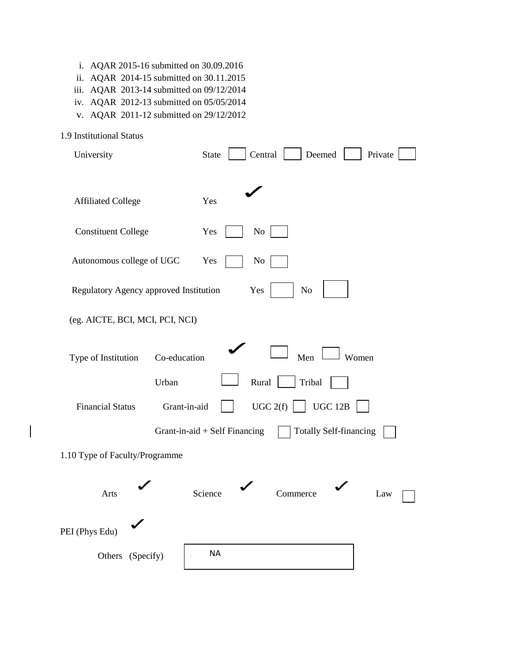- i. AQAR 2015-16 submitted on 30.09.2016
- ii. AQAR 2014-15 submitted on 30.11.2015
- iii. AQAR 2013-14 submitted on 09/12/2014
- iv. AQAR 2012-13 submitted on 05/05/2014
- v. AQAR 2011-12 submitted on 29/12/2012

#### 1.9 Institutional Status

 $\overline{\phantom{a}}$ 

| University                             | Central<br>Deemed<br>Private<br><b>State</b>                   |
|----------------------------------------|----------------------------------------------------------------|
| <b>Affiliated College</b>              | Yes                                                            |
| <b>Constituent College</b>             | Yes<br>No                                                      |
| Autonomous college of UGC              | Yes<br>N <sub>0</sub>                                          |
| Regulatory Agency approved Institution | Yes<br>No                                                      |
| (eg. AICTE, BCI, MCI, PCI, NCI)        |                                                                |
| Type of Institution<br>Co-education    | Women<br>Men                                                   |
| Urban                                  | Tribal<br>Rural                                                |
| <b>Financial Status</b>                | UGC 2(f)<br><b>UGC 12B</b><br>Grant-in-aid                     |
|                                        | <b>Totally Self-financing</b><br>Grant-in-aid + Self Financing |
| 1.10 Type of Faculty/Programme         |                                                                |
| Arts                                   | Science<br>Commerce<br>Law                                     |
| PEI (Phys Edu)                         |                                                                |
| Others (Specify)                       | <b>NA</b>                                                      |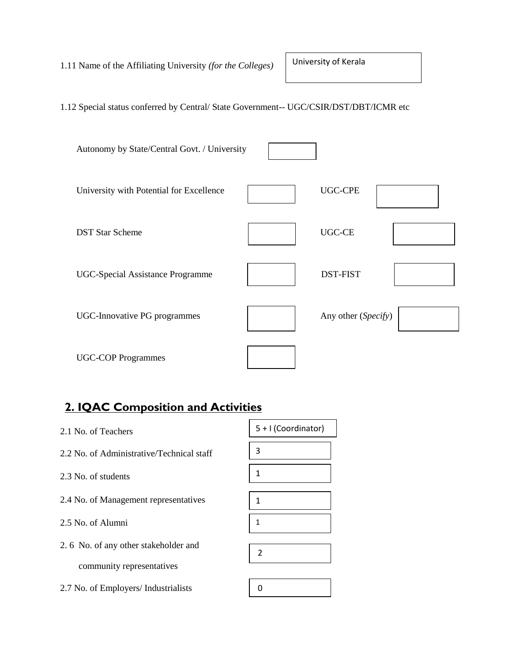1.11 Name of the Affiliating University *(for the Colleges)*

#### 1.12 Special status conferred by Central/ State Government-- UGC/CSIR/DST/DBT/ICMR etc



# **2. IQAC Composition and Activities**

| 2.1 No. of Teachers                       | 5 + I (Coordinator) |
|-------------------------------------------|---------------------|
| 2.2 No. of Administrative/Technical staff | 3                   |
| 2.3 No. of students                       | 1                   |
| 2.4 No. of Management representatives     | 1                   |
| 2.5 No. of Alumni                         | 1                   |
| 2.6 No. of any other stakeholder and      | $\overline{2}$      |
| community representatives                 |                     |
| 2.7 No. of Employers/ Industrialists      |                     |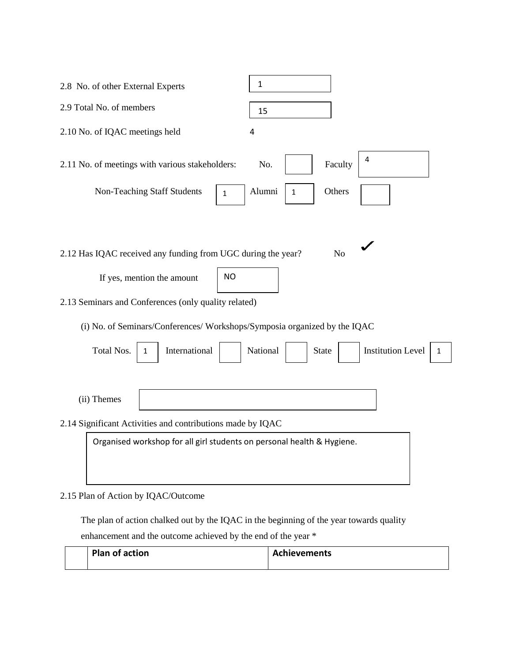| 1<br>2.8 No. of other External Experts                                                        |  |  |  |  |  |
|-----------------------------------------------------------------------------------------------|--|--|--|--|--|
| 2.9 Total No. of members<br>15                                                                |  |  |  |  |  |
| 2.10 No. of IQAC meetings held<br>4                                                           |  |  |  |  |  |
| 4<br>2.11 No. of meetings with various stakeholders:<br>Faculty<br>No.                        |  |  |  |  |  |
| Alumni<br>Non-Teaching Staff Students<br>Others<br>$\mathbf{1}$<br>$\mathbf{1}$               |  |  |  |  |  |
|                                                                                               |  |  |  |  |  |
| 2.12 Has IQAC received any funding from UGC during the year?<br>N <sub>o</sub>                |  |  |  |  |  |
| NO.<br>If yes, mention the amount                                                             |  |  |  |  |  |
| 2.13 Seminars and Conferences (only quality related)                                          |  |  |  |  |  |
| (i) No. of Seminars/Conferences/ Workshops/Symposia organized by the IQAC                     |  |  |  |  |  |
| <b>Institution Level</b><br>Total Nos.<br>International<br>National<br><b>State</b><br>1<br>1 |  |  |  |  |  |
|                                                                                               |  |  |  |  |  |
| (ii) Themes                                                                                   |  |  |  |  |  |
| 2.14 Significant Activities and contributions made by IQAC                                    |  |  |  |  |  |
| Organised workshop for all girl students on personal health & Hygiene.                        |  |  |  |  |  |
| 2.15 Plan of Action by IQAC/Outcome                                                           |  |  |  |  |  |

 The plan of action chalked out by the IQAC in the beginning of the year towards quality enhancement and the outcome achieved by the end of the year \*

| Plan of action | <b>Achievements</b> |
|----------------|---------------------|
|                |                     |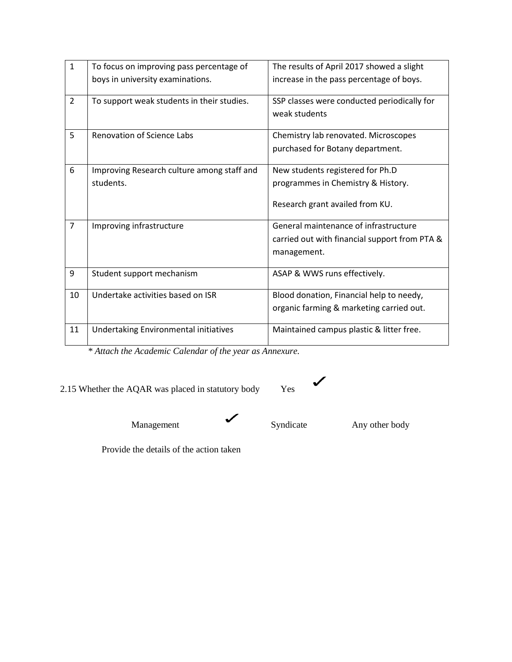| $\mathbf 1$    | To focus on improving pass percentage of   | The results of April 2017 showed a slight     |
|----------------|--------------------------------------------|-----------------------------------------------|
|                | boys in university examinations.           | increase in the pass percentage of boys.      |
| $\overline{2}$ | To support weak students in their studies. | SSP classes were conducted periodically for   |
|                |                                            | weak students                                 |
| 5              | <b>Renovation of Science Labs</b>          | Chemistry lab renovated. Microscopes          |
|                |                                            | purchased for Botany department.              |
| 6              | Improving Research culture among staff and | New students registered for Ph.D              |
|                | students.                                  | programmes in Chemistry & History.            |
|                |                                            | Research grant availed from KU.               |
|                |                                            |                                               |
| $\overline{7}$ | Improving infrastructure                   | General maintenance of infrastructure         |
|                |                                            | carried out with financial support from PTA & |
|                |                                            | management.                                   |
| 9              | Student support mechanism                  | ASAP & WWS runs effectively.                  |
| 10             | Undertake activities based on ISR          | Blood donation, Financial help to needy,      |
|                |                                            | organic farming & marketing carried out.      |
|                |                                            |                                               |
| 11             | Undertaking Environmental initiatives      | Maintained campus plastic & litter free.      |
|                |                                            |                                               |

 *\* Attach the Academic Calendar of the year as Annexure.*

2.15 Whether the AQAR was placed in statutory body Yes





Management Syndicate Any other body

Provide the details of the action taken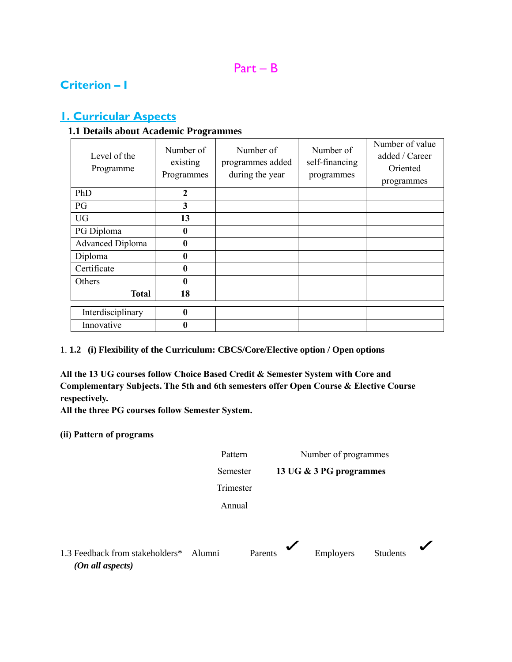# Part – B

# **Criterion – I**

# **1. Curricular Aspects**

#### **1.1 Details about Academic Programmes**

| Level of the<br>Programme | Number of<br>existing<br>Programmes | Number of<br>programmes added<br>during the year | Number of<br>self-financing<br>programmes | Number of value<br>added / Career<br>Oriented<br>programmes |
|---------------------------|-------------------------------------|--------------------------------------------------|-------------------------------------------|-------------------------------------------------------------|
| PhD                       | $\mathbf{2}$                        |                                                  |                                           |                                                             |
| PG                        | 3                                   |                                                  |                                           |                                                             |
| <b>UG</b>                 | 13                                  |                                                  |                                           |                                                             |
| PG Diploma                | $\mathbf 0$                         |                                                  |                                           |                                                             |
| <b>Advanced Diploma</b>   | $\mathbf{0}$                        |                                                  |                                           |                                                             |
| Diploma                   | 0                                   |                                                  |                                           |                                                             |
| Certificate               | $\mathbf{0}$                        |                                                  |                                           |                                                             |
| <b>Others</b>             | 0                                   |                                                  |                                           |                                                             |
| <b>Total</b>              | 18                                  |                                                  |                                           |                                                             |
| Interdisciplinary         | $\mathbf{0}$                        |                                                  |                                           |                                                             |
| Innovative                |                                     |                                                  |                                           |                                                             |

1. **1.2 (i) Flexibility of the Curriculum: CBCS/Core/Elective option / Open options**

**All the 13 UG courses follow Choice Based Credit & Semester System with Core and Complementary Subjects. The 5th and 6th semesters offer Open Course & Elective Course respectively.** 

**All the three PG courses follow Semester System.**

**(ii) Pattern of programs**

|                                                     | Pattern   |         | Number of programmes    |                 |  |
|-----------------------------------------------------|-----------|---------|-------------------------|-----------------|--|
|                                                     | Semester  |         | 13 UG & 3 PG programmes |                 |  |
|                                                     | Trimester |         |                         |                 |  |
|                                                     | Annual    |         |                         |                 |  |
| 1.3 Feedback from stakeholders*<br>(On all aspects) | Alumni    | Parents | Employers               | <b>Students</b> |  |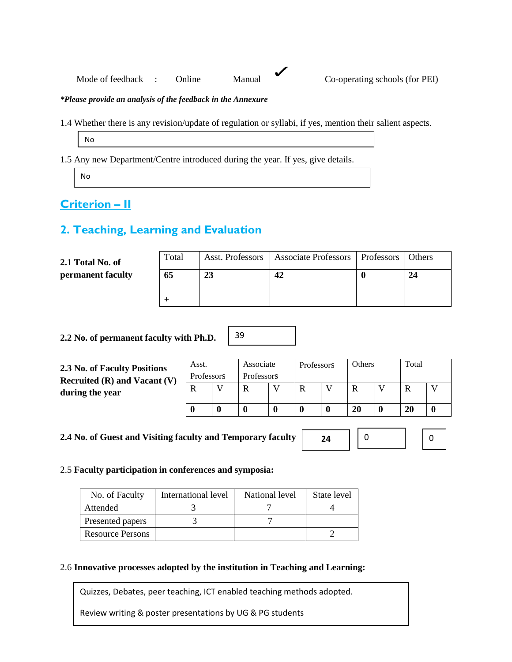Mode of feedback : Online Manual Co-operating schools (for PEI)

#### *\*Please provide an analysis of the feedback in the Annexure*

1.4 Whether there is any revision/update of regulation or syllabi, if yes, mention their salient aspects.

39

No

1.5 Any new Department/Centre introduced during the year. If yes, give details.

No

# **Criterion – II**

# **2. Teaching, Learning and Evaluation**

**2.1 Total No. of permanent faculty**

| Total | Asst. Professors   Associate Professors   Professors   Others |  |
|-------|---------------------------------------------------------------|--|
| 65    |                                                               |  |

### **2.2 No. of permanent faculty with Ph.D.**

**2.3 No. of Faculty Positions Recruited (R) and Vacant (V) during the year**

| Asst.      | Associate  | Professors | Others | Total |  |
|------------|------------|------------|--------|-------|--|
| Professors | Professors |            |        |       |  |
|            |            |            |        |       |  |
|            |            |            |        |       |  |
|            |            |            | 20     | 20    |  |

**24**

**2.4 No. of Guest and Visiting faculty and Temporary faculty** 

0 0

# 2.5 **Faculty participation in conferences and symposia:**

| No. of Faculty          | International level | National level | State level |
|-------------------------|---------------------|----------------|-------------|
| Attended                |                     |                |             |
| Presented papers        |                     |                |             |
| <b>Resource Persons</b> |                     |                |             |

#### 2.6 **Innovative processes adopted by the institution in Teaching and Learning:**

Quizzes, Debates, peer teaching, ICT enabled teaching methods adopted.

Review writing & poster presentations by UG & PG students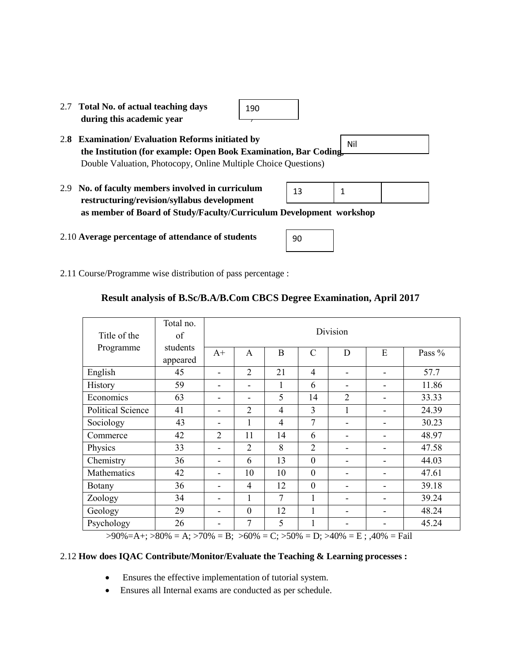| 2.7 Total No. of actual teaching days | 19 |
|---------------------------------------|----|
| during this academic year             |    |

| 2.8 Examination/Evaluation Reforms initiated by                  | Nil |
|------------------------------------------------------------------|-----|
| the Institution (for example: Open Book Examination, Bar Coding. |     |
| Double Valuation, Photocopy, Online Multiple Choice Questions)   |     |

190

- 2.9 **No. of faculty members involved in curriculum restructuring/revision/syllabus development as member of Board of Study/Faculty/Curriculum Development workshop**  $13 \mid 1$
- 2.10 **Average percentage of attendance of students**

| 90 |  |
|----|--|
|    |  |

2.11 Course/Programme wise distribution of pass percentage :

#### **Result analysis of B.Sc/B.A/B.Com CBCS Degree Examination, April 2017**

| Title of the             | Total no.<br>of      | Division                 |                |                |                |                |   |        |
|--------------------------|----------------------|--------------------------|----------------|----------------|----------------|----------------|---|--------|
| Programme                | students<br>appeared | $A+$                     | A              | B              | $\mathcal{C}$  | D              | E | Pass % |
| English                  | 45                   |                          | $\overline{2}$ | 21             | $\overline{4}$ |                |   | 57.7   |
| History                  | 59                   |                          |                | 1              | 6              | -              |   | 11.86  |
| Economics                | 63                   |                          |                | 5              | 14             | $\overline{2}$ |   | 33.33  |
| <b>Political Science</b> | 41                   |                          | $\overline{2}$ | $\overline{4}$ | 3              | 1              |   | 24.39  |
| Sociology                | 43                   | -                        |                | 4              | 7              | -              |   | 30.23  |
| Commerce                 | 42                   | $\overline{2}$           | 11             | 14             | 6              |                |   | 48.97  |
| Physics                  | 33                   |                          | $\overline{2}$ | 8              | $\overline{2}$ |                |   | 47.58  |
| Chemistry                | 36                   | $\overline{\phantom{0}}$ | 6              | 13             | $\mathbf{0}$   | -              |   | 44.03  |
| Mathematics              | 42                   |                          | 10             | 10             | $\mathbf{0}$   |                |   | 47.61  |
| Botany                   | 36                   |                          | $\overline{4}$ | 12             | $\mathbf{0}$   | -              |   | 39.18  |
| Zoology                  | 34                   | -                        | 1              | 7              | 1              | -              |   | 39.24  |
| Geology                  | 29                   |                          | $\overline{0}$ | 12             | $\mathbf{1}$   | -              |   | 48.24  |
| Psychology               | 26                   |                          | 7              | 5              | $\mathbf{1}$   |                |   | 45.24  |

 $>90\% = A$ +;  $>80\% = A$ ;  $>70\% = B$ ;  $>60\% = C$ ;  $>50\% = D$ ;  $>40\% = E$ ;  $>40\% = F$ ail

#### 2.12 **How does IQAC Contribute/Monitor/Evaluate the Teaching & Learning processes :**

- Ensures the effective implementation of tutorial system.
- Ensures all Internal exams are conducted as per schedule.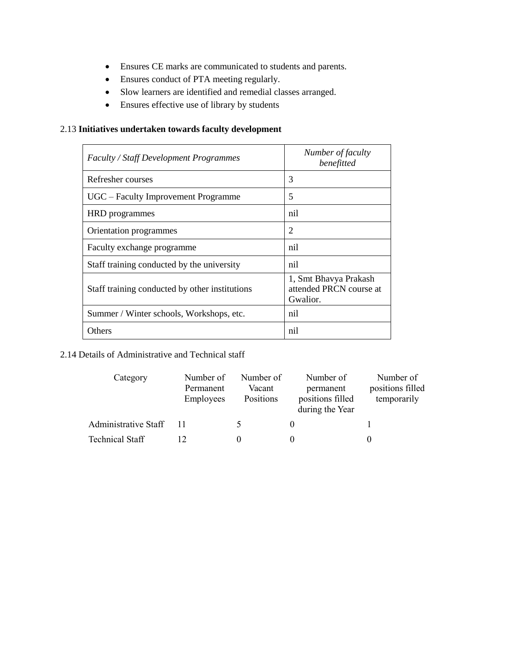- Ensures CE marks are communicated to students and parents.
- Ensures conduct of PTA meeting regularly.
- Slow learners are identified and remedial classes arranged.
- Ensures effective use of library by students

#### 2.13 **Initiatives undertaken towards faculty development**

| <b>Faculty / Staff Development Programmes</b>  | Number of faculty<br>benefitted                              |
|------------------------------------------------|--------------------------------------------------------------|
| Refresher courses                              | 3                                                            |
| UGC – Faculty Improvement Programme            | 5                                                            |
| HRD programmes                                 | nil                                                          |
| Orientation programmes                         | 2                                                            |
| Faculty exchange programme                     | nil                                                          |
| Staff training conducted by the university     | nil                                                          |
| Staff training conducted by other institutions | 1, Smt Bhavya Prakash<br>attended PRCN course at<br>Gwalior. |
| Summer / Winter schools, Workshops, etc.       | nil                                                          |
| Others                                         | nil                                                          |

2.14 Details of Administrative and Technical staff

| Category               | Number of | Number of | Number of                           | Number of        |
|------------------------|-----------|-----------|-------------------------------------|------------------|
|                        | Permanent | Vacant    | permanent                           | positions filled |
|                        | Employees | Positions | positions filled<br>during the Year | temporarily      |
| Administrative Staff   |           |           |                                     |                  |
| <b>Technical Staff</b> |           |           |                                     |                  |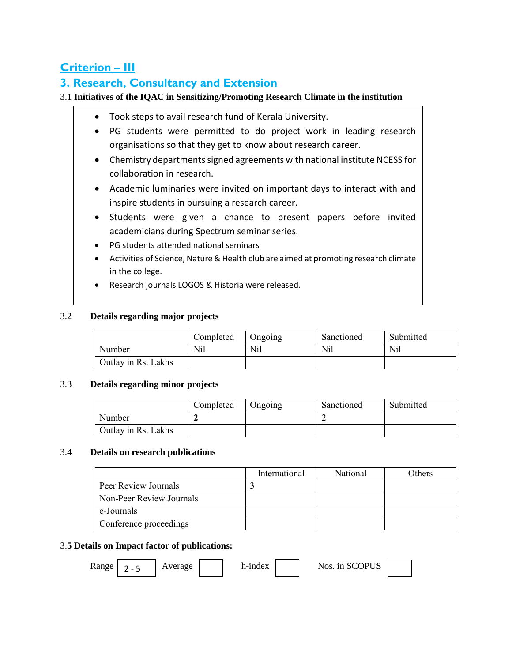# **Criterion – III**

# **3. Research, Consultancy and Extension**

#### 3.1 **Initiatives of the IQAC in Sensitizing/Promoting Research Climate in the institution**

- Took steps to avail research fund of Kerala University.
- PG students were permitted to do project work in leading research organisations so that they get to know about research career.
- Chemistry departments signed agreements with national institute NCESS for collaboration in research.
- Academic luminaries were invited on important days to interact with and inspire students in pursuing a research career.
- Students were given a chance to present papers before invited academicians during Spectrum seminar series.
- PG students attended national seminars
- Activities of Science, Nature & Health club are aimed at promoting research climate in the college.
- Research journals LOGOS & Historia were released.

#### 3.2 **Details regarding major projects**

|                     | Completed | Ongoing | Sanctioned | Submitted |
|---------------------|-----------|---------|------------|-----------|
| Number              | Nil       | Nil     | Nil        | Nil       |
| Outlay in Rs. Lakhs |           |         |            |           |

#### 3.3 **Details regarding minor projects**

|                     | Completed | <b>Jngoing</b> | Sanctioned | Submitted |
|---------------------|-----------|----------------|------------|-----------|
| Number              |           |                |            |           |
| Outlay in Rs. Lakhs |           |                |            |           |

#### 3.4 **Details on research publications**

|                          | International | <b>National</b> | Others |
|--------------------------|---------------|-----------------|--------|
| Peer Review Journals     |               |                 |        |
| Non-Peer Review Journals |               |                 |        |
| e-Journals               |               |                 |        |
| Conference proceedings   |               |                 |        |

#### 3.**5 Details on Impact factor of publications:**

Range  $2 - 5$  Average h-index

Nos. in SCOPUS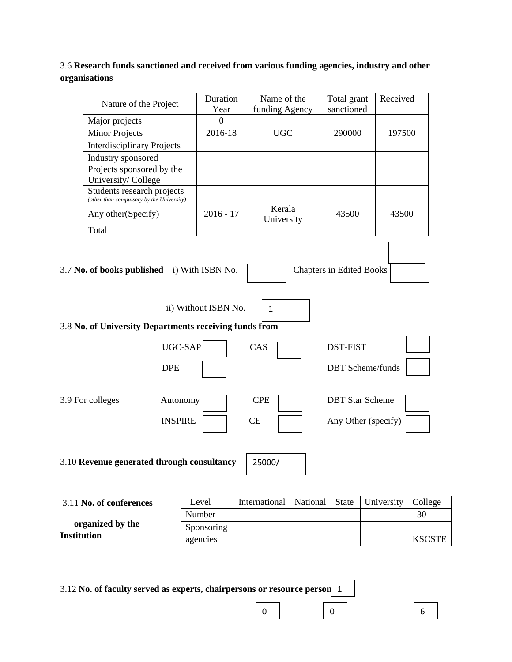3.6 **Research funds sanctioned and received from various funding agencies, industry and other organisations**

|                                                                         | Duration<br>Nature of the Project<br>Year |                      | Name of the<br>funding Agency |                                 | Total grant<br>sanctioned | Received                |               |
|-------------------------------------------------------------------------|-------------------------------------------|----------------------|-------------------------------|---------------------------------|---------------------------|-------------------------|---------------|
| Major projects                                                          |                                           | $\mathbf{0}$         |                               |                                 |                           |                         |               |
| <b>Minor Projects</b>                                                   |                                           | 2016-18              | <b>UGC</b>                    |                                 | 290000                    | 197500                  |               |
| <b>Interdisciplinary Projects</b>                                       |                                           |                      |                               |                                 |                           |                         |               |
| Industry sponsored                                                      |                                           |                      |                               |                                 |                           |                         |               |
| Projects sponsored by the<br>University/College                         |                                           |                      |                               |                                 |                           |                         |               |
| Students research projects<br>(other than compulsory by the University) |                                           |                      |                               |                                 |                           |                         |               |
| Any other(Specify)                                                      |                                           | $2016 - 17$          | Kerala<br>University          |                                 | 43500                     | 43500                   |               |
| Total                                                                   |                                           |                      |                               |                                 |                           |                         |               |
| 3.7 No. of books published i) With ISBN No.                             |                                           | ii) Without ISBN No. | 1                             | <b>Chapters in Edited Books</b> |                           |                         |               |
| 3.8 No. of University Departments receiving funds from                  |                                           |                      |                               |                                 |                           |                         |               |
|                                                                         | <b>UGC-SAP</b>                            |                      | CAS                           |                                 | <b>DST-FIST</b>           |                         |               |
|                                                                         | <b>DPE</b>                                |                      |                               |                                 |                           | <b>DBT</b> Scheme/funds |               |
| 3.9 For colleges                                                        | Autonomy                                  |                      | <b>CPE</b>                    |                                 |                           | <b>DBT</b> Star Scheme  |               |
|                                                                         | <b>INSPIRE</b>                            |                      | <b>CE</b>                     |                                 |                           | Any Other (specify)     |               |
| 3.10 Revenue generated through consultancy                              |                                           |                      | 25000/-                       |                                 |                           |                         |               |
| 3.11 No. of conferences                                                 |                                           | Level                | International                 | National                        | State                     | University              | College       |
|                                                                         |                                           | Number               |                               |                                 |                           |                         | 30            |
| organized by the                                                        |                                           | Sponsoring           |                               |                                 |                           |                         |               |
| <b>Institution</b>                                                      |                                           | agencies             |                               |                                 |                           |                         | <b>KSCSTE</b> |

3.12 **No. of faculty served as experts, chairpersons or resource persons** 1

| 0<br>0 | 6 |
|--------|---|
|--------|---|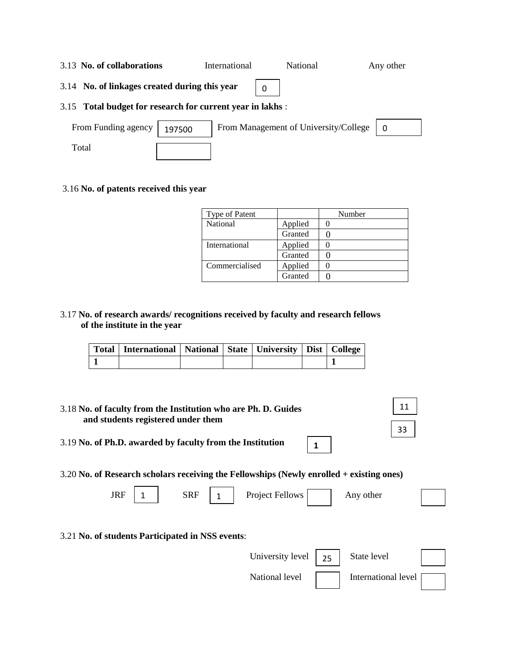| 3.13 No. of collaborations                                 |        | International | <b>National</b>                           | Any other |  |  |  |  |
|------------------------------------------------------------|--------|---------------|-------------------------------------------|-----------|--|--|--|--|
| 3.14 No. of linkages created during this year<br>$\Omega$  |        |               |                                           |           |  |  |  |  |
| 3.15 Total budget for research for current year in lakhs : |        |               |                                           |           |  |  |  |  |
| From Funding agency                                        | 197500 |               | From Management of University/College   0 |           |  |  |  |  |

#### 3.16 **No. of patents received this year**

Total

| Type of Patent |         | Number |
|----------------|---------|--------|
| National       | Applied |        |
|                | Granted |        |
| International  | Applied |        |
|                | Granted |        |
| Commercialised | Applied |        |
|                | Granted |        |

3.17 **No. of research awards/ recognitions received by faculty and research fellows of the institute in the year**

| Total   International   National   State   University   Dist   College |  |  |  |
|------------------------------------------------------------------------|--|--|--|
|                                                                        |  |  |  |

| 11<br>3.18 No. of faculty from the Institution who are Ph. D. Guides<br>and students registered under them |  |  |  |  |  |
|------------------------------------------------------------------------------------------------------------|--|--|--|--|--|
| 33<br>3.19 No. of Ph.D. awarded by faculty from the Institution<br>1                                       |  |  |  |  |  |
| $3.20$ No. of Research scholars receiving the Fellowships (Newly enrolled $+$ existing ones)               |  |  |  |  |  |
| <b>JRF</b><br><b>SRF</b><br><b>Project Fellows</b><br>Any other<br>1                                       |  |  |  |  |  |
|                                                                                                            |  |  |  |  |  |
| 3.21 No. of students Participated in NSS events:                                                           |  |  |  |  |  |
| State level<br>University level<br>25                                                                      |  |  |  |  |  |
| National level<br>International level                                                                      |  |  |  |  |  |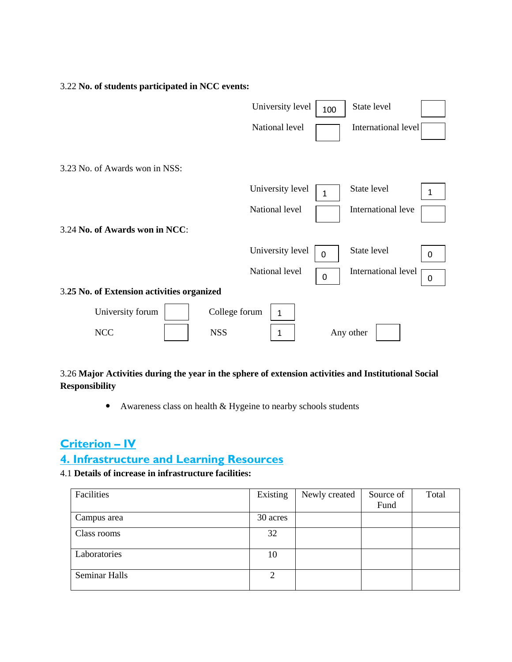3.22 **No. of students participated in NCC events:**

|                                            | University level           | 100              | State level         |              |
|--------------------------------------------|----------------------------|------------------|---------------------|--------------|
|                                            | National level             |                  | International level |              |
|                                            |                            |                  |                     |              |
| 3.23 No. of Awards won in NSS:             |                            |                  |                     |              |
|                                            | University level           | $\mathbf{1}$     | State level         | $\mathbf{1}$ |
|                                            | National level             |                  | International leve  |              |
| 3.24 No. of Awards won in NCC:             |                            |                  |                     |              |
|                                            | University level           | 0                | State level         | 0            |
|                                            | National level             | $\boldsymbol{0}$ | International level | $\Omega$     |
| 3.25 No. of Extension activities organized |                            |                  |                     |              |
| University forum                           | College forum<br>1         |                  |                     |              |
| <b>NCC</b>                                 | <b>NSS</b><br>$\mathbf{1}$ |                  | Any other           |              |

#### 3.26 **Major Activities during the year in the sphere of extension activities and Institutional Social Responsibility**

• Awareness class on health & Hygeine to nearby schools students

# **Criterion – IV**

# **4. Infrastructure and Learning Resources**

4.1 **Details of increase in infrastructure facilities:**

| Facilities           | Existing | Newly created | Source of | Total |
|----------------------|----------|---------------|-----------|-------|
|                      |          |               | Fund      |       |
| Campus area          | 30 acres |               |           |       |
| Class rooms          | 32       |               |           |       |
| Laboratories         | 10       |               |           |       |
| <b>Seminar Halls</b> | 2        |               |           |       |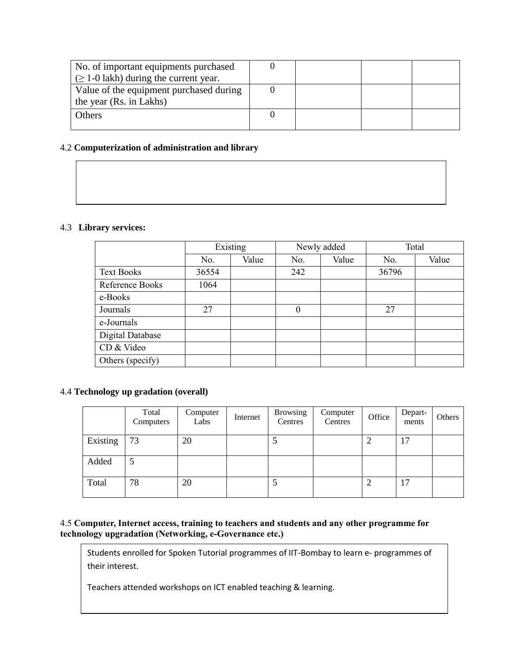| No. of important equipments purchased       |  |  |
|---------------------------------------------|--|--|
| $(\geq 1$ -0 lakh) during the current year. |  |  |
| Value of the equipment purchased during     |  |  |
| the year (Rs. in Lakhs)                     |  |  |
| <b>Others</b>                               |  |  |
|                                             |  |  |

#### 4.2 **Computerization of administration and library**

#### 4.3 **Library services:**

|                   |       | Existing |          | Newly added |       | Total |
|-------------------|-------|----------|----------|-------------|-------|-------|
|                   | No.   | Value    | No.      | Value       | No.   | Value |
| <b>Text Books</b> | 36554 |          | 242      |             | 36796 |       |
| Reference Books   | 1064  |          |          |             |       |       |
| e-Books           |       |          |          |             |       |       |
| Journals          | 27    |          | $\theta$ |             | 27    |       |
| e-Journals        |       |          |          |             |       |       |
| Digital Database  |       |          |          |             |       |       |
| CD & Video        |       |          |          |             |       |       |
| Others (specify)  |       |          |          |             |       |       |

#### 4.4 **Technology up gradation (overall)**

|          | Total<br>Computers | Computer<br>Labs | Internet | <b>Browsing</b><br>Centres | Computer<br>Centres | Office | Depart-<br>ments | Others |
|----------|--------------------|------------------|----------|----------------------------|---------------------|--------|------------------|--------|
| Existing | 73                 | 20               |          | J                          |                     | ∠      | 17               |        |
| Added    |                    |                  |          |                            |                     |        |                  |        |
| Total    | 78                 | 20               |          | J                          |                     | っ<br>∠ | 17               |        |

#### 4.5 **Computer, Internet access, training to teachers and students and any other programme for technology upgradation (Networking, e-Governance etc.)**

Students enrolled for Spoken Tutorial programmes of IIT-Bombay to learn e- programmes of their interest.

Teachers attended workshops on ICT enabled teaching & learning.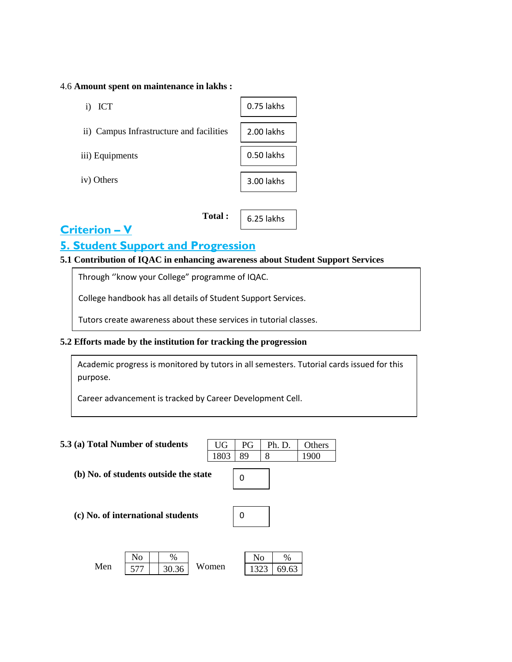#### 4.6 **Amount spent on maintenance in lakhs :**

- i) ICT
- ii) Campus Infrastructure and facilities
- iii) Equipments
- iv) Others



6.25 lakhs

**Total :** 

# **Criterion – V**

# **5. Student Support and Progression**

**5.1 Contribution of IQAC in enhancing awareness about Student Support Services** 

Through ''know your College" programme of IQAC.

College handbook has all details of Student Support Services.

Tutors create awareness about these services in tutorial classes.

#### **5.2 Efforts made by the institution for tracking the progression**

Academic progress is monitored by tutors in all semesters. Tutorial cards issued for this purpose.

Career advancement is tracked by Career Development Cell.

#### **5.3 (a) Total Number of students**

| (a) Total Number of students          |      |     | UG   PG   Ph.D.   Others |      |
|---------------------------------------|------|-----|--------------------------|------|
|                                       | 1803 | -89 |                          | 1900 |
|                                       |      |     |                          |      |
| (b) No. of students outside the state |      |     |                          |      |

**(c) No. of international students** 

| 0 | _______ |  |
|---|---------|--|
|   |         |  |

|     |     | $\%$  |       |      | $\%$  |
|-----|-----|-------|-------|------|-------|
| Men | 577 | 30.36 | Women | 1323 | 69.63 |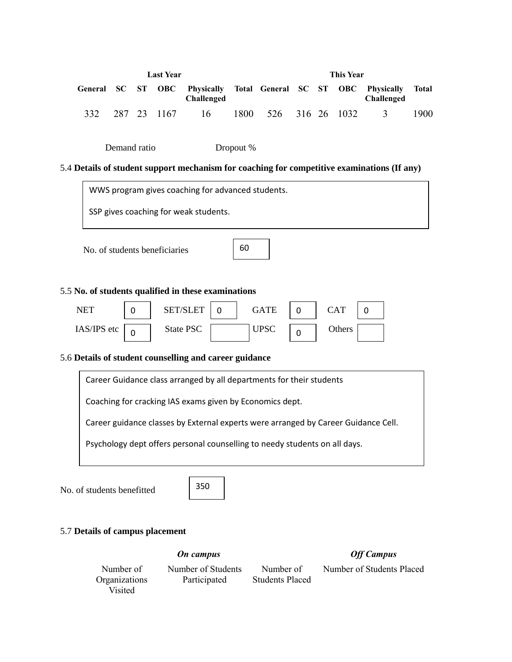|     |  | <b>Last Year</b> |                                                                                      |                      |  | This Year |                   |       |
|-----|--|------------------|--------------------------------------------------------------------------------------|----------------------|--|-----------|-------------------|-------|
|     |  |                  | General SC ST OBC Physically Total General SC ST OBC Physically<br><b>Challenged</b> |                      |  |           | <b>Challenged</b> | Total |
| 332 |  | 287 23 1167      | 16                                                                                   | 1800 526 316 26 1032 |  |           | $\Delta$          | 1900. |

Demand ratio Dropout %

#### 5.4 **Details of student support mechanism for coaching for competitive examinations (If any)**

| WWS program gives coaching for advanced students.                                                       |
|---------------------------------------------------------------------------------------------------------|
| SSP gives coaching for weak students.                                                                   |
| 60<br>No. of students beneficiaries                                                                     |
| 5.5 No. of students qualified in these examinations                                                     |
| <b>SET/SLET</b><br><b>CAT</b><br><b>NET</b><br><b>GATE</b><br>0<br>$\Omega$<br>$\mathbf{0}$<br>$\Omega$ |
| IAS/IPS etc<br><b>State PSC</b><br><b>UPSC</b><br>Others<br>$\Omega$<br>$\mathbf 0$                     |
| 5.6 Details of student counselling and career guidance                                                  |
| Career Guidance class arranged by all departments for their students                                    |
| Coaching for cracking IAS exams given by Economics dept.                                                |
| Career guidance classes by External experts were arranged by Career Guidance Cell.                      |
| Psychology dept offers personal counselling to needy students on all days.                              |

No. of students benefitted

350

#### 5.7 **Details of campus placement**

Number of Organizations Visited

Number of Students Participated

*On campus Off Campus*

Number of Students Placed Number of Students Placed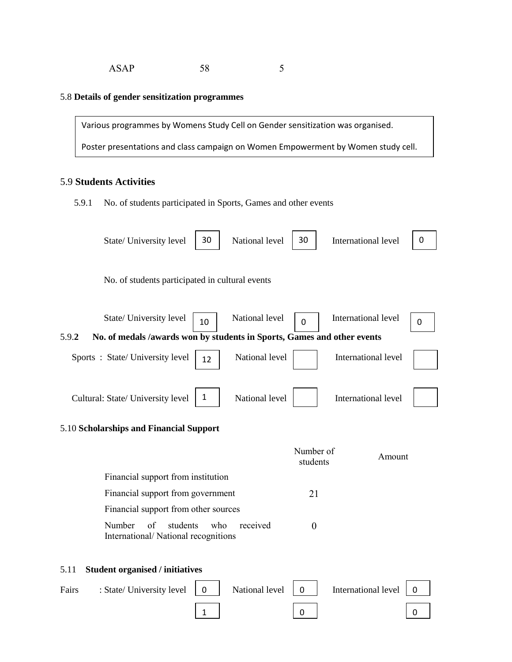#### 5.8 **Details of gender sensitization programmes**

Various programmes by Womens Study Cell on Gender sensitization was organised. Poster presentations and class campaign on Women Empowerment by Women study cell.

#### 5.9 **Students Activities**

5.9.1 No. of students participated in Sports, Games and other events

| State/ University level                                                          | 30  | National level | 30                    | International level | 0 |
|----------------------------------------------------------------------------------|-----|----------------|-----------------------|---------------------|---|
| No. of students participated in cultural events                                  |     |                |                       |                     |   |
| State/ University level                                                          | 10  | National level | $\Omega$              | International level | 0 |
| 5.9.2<br>No. of medals /awards won by students in Sports, Games and other events |     |                |                       |                     |   |
| Sports: State/University level                                                   | 12  | National level |                       | International level |   |
| Cultural: State/ University level                                                | 1   | National level |                       | International level |   |
| 5.10 Scholarships and Financial Support                                          |     |                |                       |                     |   |
|                                                                                  |     |                | Number of<br>students | Amount              |   |
| Financial support from institution                                               |     |                |                       |                     |   |
| Financial support from government                                                |     |                | 21                    |                     |   |
| Financial support from other sources                                             |     |                |                       |                     |   |
| Number<br>of<br>students<br>International/National recognitions                  | who | received       | $\theta$              |                     |   |
| 5.11<br><b>Student organised / initiatives</b>                                   |     |                |                       |                     |   |
| : State/ University level<br>Fairs                                               | 0   | National level | 0                     | International level | 0 |
|                                                                                  | 1   |                | 0                     |                     | 0 |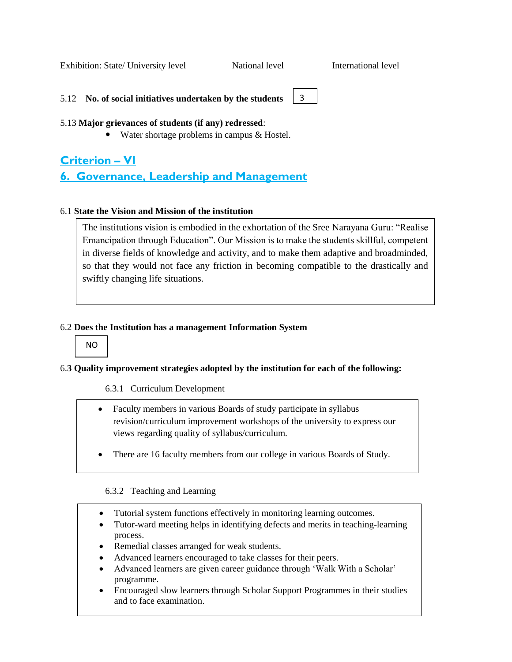Exhibition: State/ University level National level **National Level** International level

3

5.12 **No. of social initiatives undertaken by the students**

#### 5.13 **Major grievances of students (if any) redressed**:

• Water shortage problems in campus & Hostel.

# **Criterion – VI**

# **6. Governance, Leadership and Management**

#### 6.1 **State the Vision and Mission of the institution**

The institutions vision is embodied in the exhortation of the Sree Narayana Guru: "Realise Emancipation through Education". Our Mission is to make the students skillful, competent in diverse fields of knowledge and activity, and to make them adaptive and broadminded, so that they would not face any friction in becoming compatible to the drastically and swiftly changing life situations.

#### 6.2 **Does the Institution has a management Information System**



#### 6.**3 Quality improvement strategies adopted by the institution for each of the following:**

#### 6.3.1 Curriculum Development

- Faculty members in various Boards of study participate in syllabus revision/curriculum improvement workshops of the university to express our views regarding quality of syllabus/curriculum.
- There are 16 faculty members from our college in various Boards of Study.

#### 6.3.2 Teaching and Learning

- Tutorial system functions effectively in monitoring learning outcomes.
- Tutor-ward meeting helps in identifying defects and merits in teaching-learning process.
- Remedial classes arranged for weak students.
- Advanced learners encouraged to take classes for their peers.
- Advanced learners are given career guidance through 'Walk With a Scholar' programme.
- Encouraged slow learners through Scholar Support Programmes in their studies and to face examination.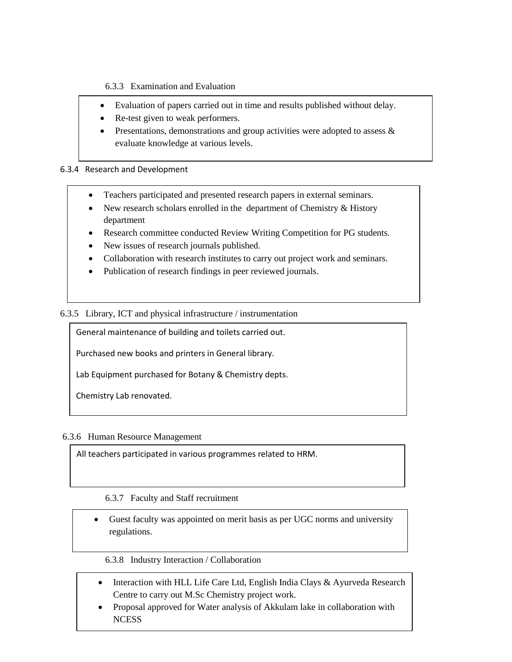- 6.3.3 Examination and Evaluation
- Evaluation of papers carried out in time and results published without delay.
- Re-test given to weak performers.
- Presentations, demonstrations and group activities were adopted to assess  $\&$ evaluate knowledge at various levels.

#### 6.3.4 Research and Development

- Teachers participated and presented research papers in external seminars.
- New research scholars enrolled in the department of Chemistry & History department
- Research committee conducted Review Writing Competition for PG students.
- New issues of research journals published.
- Collaboration with research institutes to carry out project work and seminars.
- Publication of research findings in peer reviewed journals.

#### 6.3.5 Library, ICT and physical infrastructure / instrumentation

General maintenance of building and toilets carried out.

Purchased new books and printers in General library.

Lab Equipment purchased for Botany & Chemistry depts.

Chemistry Lab renovated.

#### 6.3.6 Human Resource Management

All teachers participated in various programmes related to HRM.

#### 6.3.7 Faculty and Staff recruitment

Guest faculty was appointed on merit basis as per UGC norms and university regulations.

6.3.8 Industry Interaction / Collaboration

- Interaction with HLL Life Care Ltd, English India Clays & Ayurveda Research Centre to carry out M.Sc Chemistry project work.
- Proposal approved for Water analysis of Akkulam lake in collaboration with **NCESS**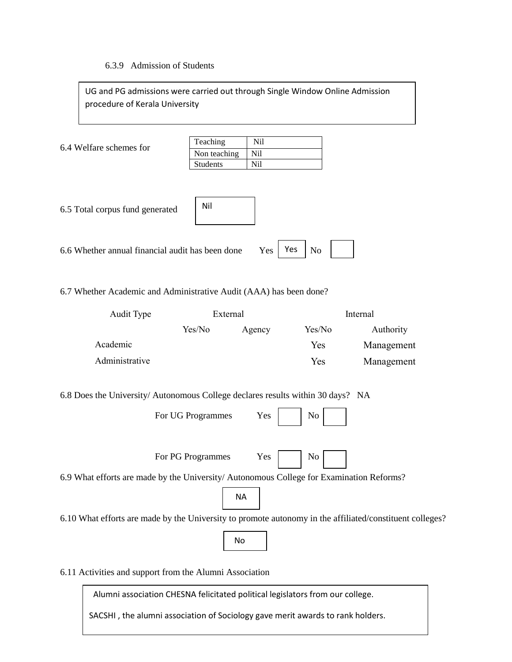#### 6.3.9 Admission of Students

| UG and PG admissions were carried out through Single Window Online Admission<br>procedure of Kerala University |                                                                  |                              |            |
|----------------------------------------------------------------------------------------------------------------|------------------------------------------------------------------|------------------------------|------------|
| 6.4 Welfare schemes for                                                                                        | Teaching<br>Nil<br>Non teaching<br>Nil<br><b>Students</b><br>Nil |                              |            |
| 6.5 Total corpus fund generated                                                                                | Nil                                                              |                              |            |
| 6.6 Whether annual financial audit has been done                                                               |                                                                  | Yes<br>N <sub>o</sub><br>Yes |            |
| 6.7 Whether Academic and Administrative Audit (AAA) has been done?                                             |                                                                  |                              |            |
| Audit Type                                                                                                     | External                                                         |                              | Internal   |
|                                                                                                                | Yes/No<br>Agency                                                 | Yes/No                       | Authority  |
| Academic                                                                                                       |                                                                  | Yes                          | Management |
| Administrative                                                                                                 |                                                                  | Yes                          | Management |
| 6.8 Does the University/ Autonomous College declares results within 30 days? NA                                |                                                                  |                              |            |
|                                                                                                                | For UG Programmes<br>Yes                                         | No                           |            |
|                                                                                                                | Yes<br>For PG Programmes                                         | No                           |            |
| 6.9 What efforts are made by the University/ Autonomous College for Examination Reforms?                       |                                                                  |                              |            |
|                                                                                                                | <b>NA</b>                                                        |                              |            |
|                                                                                                                |                                                                  |                              |            |
| 6.10 What efforts are made by the University to promote autonomy in the affiliated/constituent colleges?       |                                                                  |                              |            |
|                                                                                                                | No                                                               |                              |            |
| 6.11 Activities and support from the Alumni Association                                                        |                                                                  |                              |            |
| Alumni association CHESNA felicitated political legislators from our college.                                  |                                                                  |                              |            |

SACSHI , the alumni association of Sociology gave merit awards to rank holders.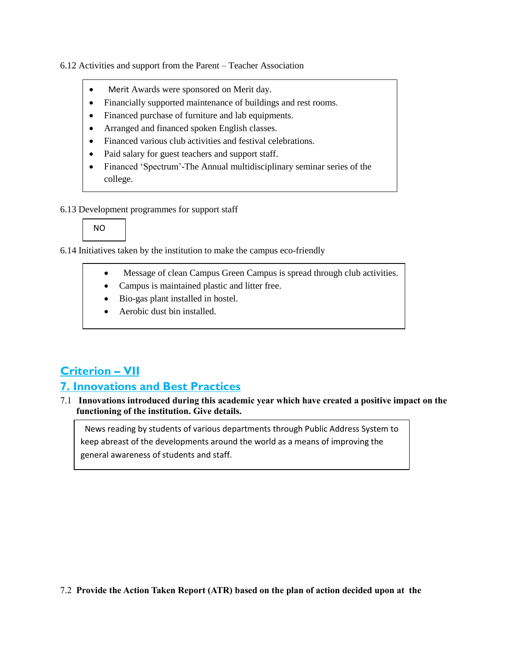6.12 Activities and support from the Parent – Teacher Association

- Merit Awards were sponsored on Merit day.
- Financially supported maintenance of buildings and rest rooms.
- Financed purchase of furniture and lab equipments.
- Arranged and financed spoken English classes.
- Financed various club activities and festival celebrations.
- Paid salary for guest teachers and support staff.
- Financed 'Spectrum'-The Annual multidisciplinary seminar series of the college.

6.13 Development programmes for support staff



6.14 Initiatives taken by the institution to make the campus eco-friendly

- Message of clean Campus Green Campus is spread through club activities.
- Campus is maintained plastic and litter free.
- Bio-gas plant installed in hostel.
- Aerobic dust bin installed.

# **Criterion – VII**

### **7. Innovations and Best Practices**

7.1 **Innovations introduced during this academic year which have created a positive impact on the functioning of the institution. Give details.**

 News reading by students of various departments through Public Address System to keep abreast of the developments around the world as a means of improving the general awareness of students and staff.

7.2 **Provide the Action Taken Report (ATR) based on the plan of action decided upon at the**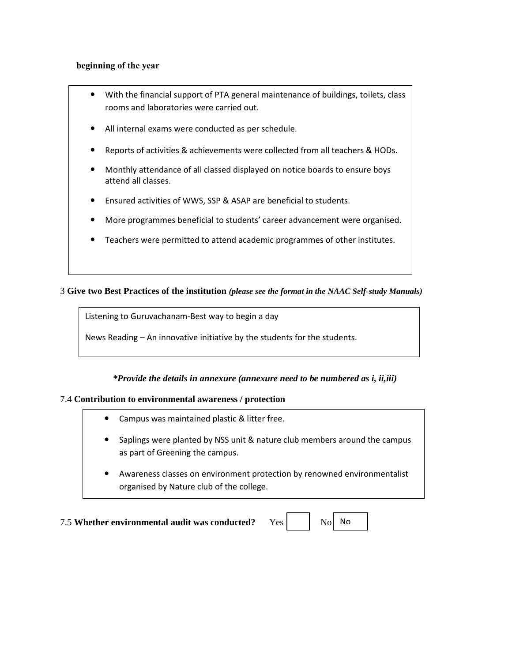#### **beginning of the year**

- With the financial support of PTA general maintenance of buildings, toilets, class rooms and laboratories were carried out.
- All internal exams were conducted as per schedule.
- Reports of activities & achievements were collected from all teachers & HODs.
- Monthly attendance of all classed displayed on notice boards to ensure boys attend all classes.
- Ensured activities of WWS, SSP & ASAP are beneficial to students.
- More programmes beneficial to students' career advancement were organised.
- Teachers were permitted to attend academic programmes of other institutes.

#### 3 **Give two Best Practices of the institution** *(please see the format in the NAAC Self-study Manuals)*

Listening to Guruvachanam-Best way to begin a day

News Reading – An innovative initiative by the students for the students.

#### *\*Provide the details in annexure (annexure need to be numbered as i, ii,iii)*

#### 7.4 **Contribution to environmental awareness / protection**

- Campus was maintained plastic & litter free.
- Saplings were planted by NSS unit & nature club members around the campus as part of Greening the campus.
- Awareness classes on environment protection by renowned environmentalist organised by Nature club of the college.

7.5 Whether environmental audit was conducted? Yes

No No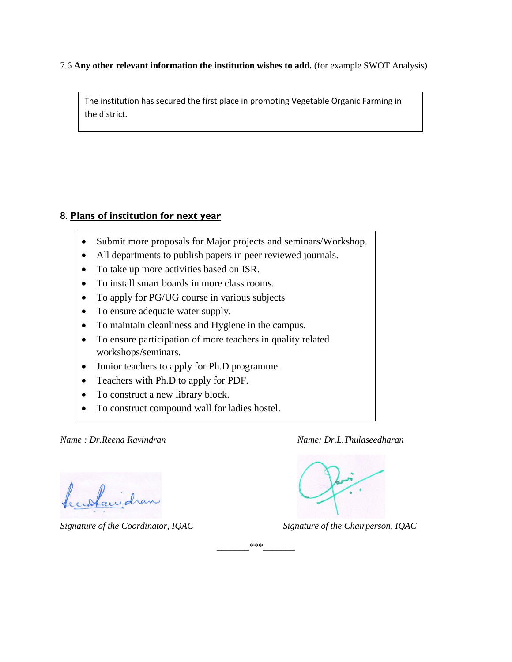#### 7.6 **Any other relevant information the institution wishes to add.** (for example SWOT Analysis)

The institution has secured the first place in promoting Vegetable Organic Farming in the district.

#### 8. **Plans of institution for next year**

- Submit more proposals for Major projects and seminars/Workshop.
- All departments to publish papers in peer reviewed journals.
- To take up more activities based on ISR.
- To install smart boards in more class rooms.
- To apply for PG/UG course in various subjects
- To ensure adequate water supply.
- To maintain cleanliness and Hygiene in the campus.
- To ensure participation of more teachers in quality related workshops/seminars.
- Junior teachers to apply for Ph.D programme.
- Teachers with Ph.D to apply for PDF.
- To construct a new library block.
- To construct compound wall for ladies hostel.

*Name : Dr.Reena Ravindran Name: Dr.L.Thulaseedharan*

lecataridran

*Signature of the Coordinator, IQAC Signature of the Chairperson, IQAC*

*\_\_\_\_\_\_\_\*\*\*\_\_\_\_\_\_\_*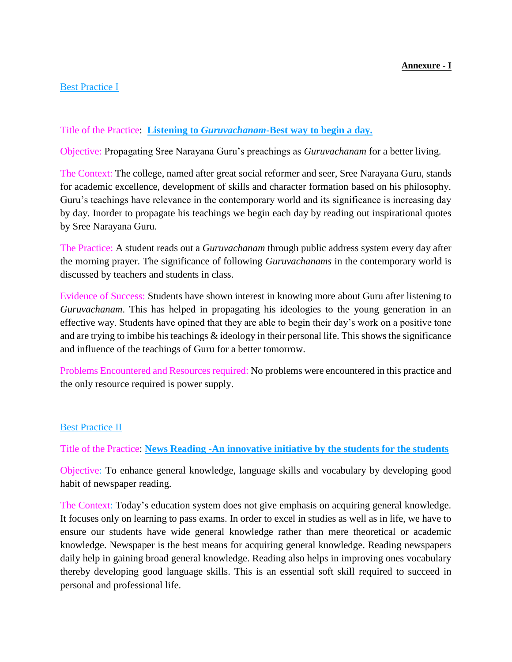#### Best Practice I

#### Title of the Practice: **Listening to** *Guruvachanam***-Best way to begin a day.**

Objective: Propagating Sree Narayana Guru's preachings as *Guruvachanam* for a better living.

The Context: The college, named after great social reformer and seer, Sree Narayana Guru, stands for academic excellence, development of skills and character formation based on his philosophy. Guru's teachings have relevance in the contemporary world and its significance is increasing day by day. Inorder to propagate his teachings we begin each day by reading out inspirational quotes by Sree Narayana Guru.

The Practice: A student reads out a *Guruvachanam* through public address system every day after the morning prayer. The significance of following *Guruvachanams* in the contemporary world is discussed by teachers and students in class.

Evidence of Success: Students have shown interest in knowing more about Guru after listening to *Guruvachanam*. This has helped in propagating his ideologies to the young generation in an effective way. Students have opined that they are able to begin their day's work on a positive tone and are trying to imbibe his teachings & ideology in their personal life. This shows the significance and influence of the teachings of Guru for a better tomorrow.

Problems Encountered and Resources required: No problems were encountered in this practice and the only resource required is power supply.

#### Best Practice II

Title of the Practice: **News Reading -An innovative initiative by the students for the students**

Objective: To enhance general knowledge, language skills and vocabulary by developing good habit of newspaper reading.

The Context: Today's education system does not give emphasis on acquiring general knowledge. It focuses only on learning to pass exams. In order to excel in studies as well as in life, we have to ensure our students have wide general knowledge rather than mere theoretical or academic knowledge. Newspaper is the best means for acquiring general knowledge. Reading newspapers daily help in gaining broad general knowledge. Reading also helps in improving ones vocabulary thereby developing good language skills. This is an essential soft skill required to succeed in personal and professional life.